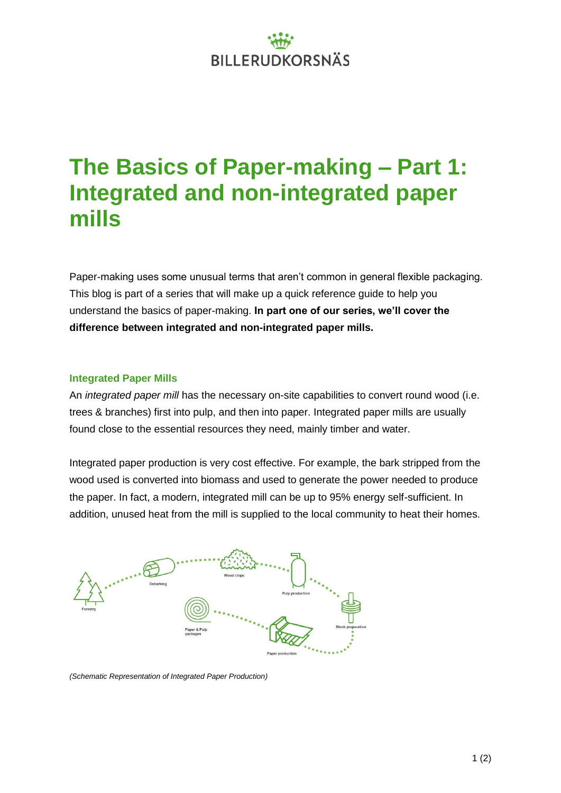# **BILLERUDKORSNÄS**

### **The Basics of Paper-making – Part 1: Integrated and non-integrated paper mills**

Paper-making uses some unusual terms that aren't common in general flexible packaging. This blog is part of a series that will make up a quick reference guide to help you understand the basics of paper-making. **In part one of our series, we'll cover the difference between integrated and non-integrated paper mills.**

#### **Integrated Paper Mills**

An *integrated paper mill* has the necessary on-site capabilities to convert round wood (i.e. trees & branches) first into pulp, and then into paper. Integrated paper mills are usually found close to the essential resources they need, mainly timber and water.

Integrated paper production is very cost effective. For example, the bark stripped from the wood used is converted into biomass and used to generate the power needed to produce the paper. In fact, a modern, integrated mill can be up to 95% energy self-sufficient. In addition, unused heat from the mill is supplied to the local community to heat their homes.



*(Schematic Representation of Integrated Paper Production)*